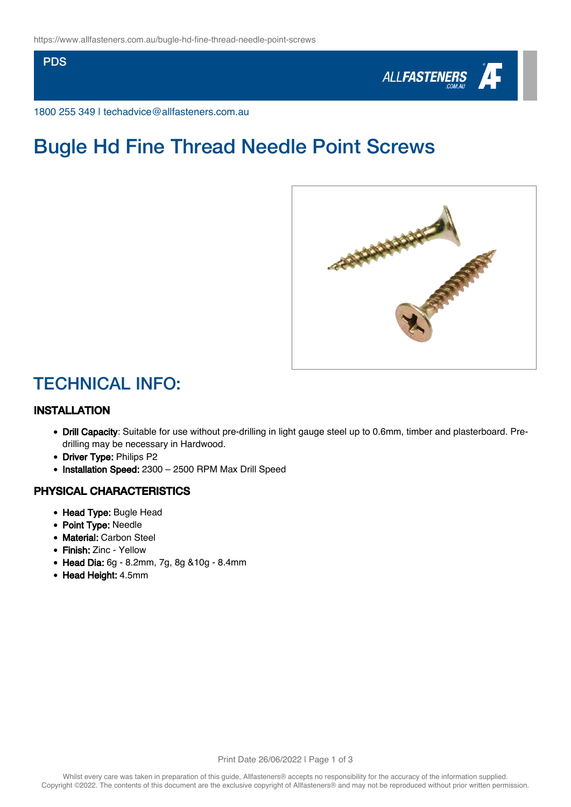**PDS** 



1800 255 349 | techadvice@allfasteners.com.au

# Bugle Hd Fine Thread Needle Point Screws



### TECHNICAL INFO:

### INSTALLATION

- Drill Capacity: Suitable for use without pre-drilling in light gauge steel up to 0.6mm, timber and plasterboard. Predrilling may be necessary in Hardwood.
- Driver Type: Philips P2
- Installation Speed: 2300 2500 RPM Max Drill Speed

### PHYSICAL CHARACTERISTICS

- Head Type: Bugle Head
- Point Type: Needle
- Material: Carbon Steel
- Finish: Zinc Yellow
- Head Dia: 6g 8.2mm, 7g, 8g & 10g 8.4mm
- Head Height: 4.5mm

Print Date 26/06/2022 | Page 1 of 3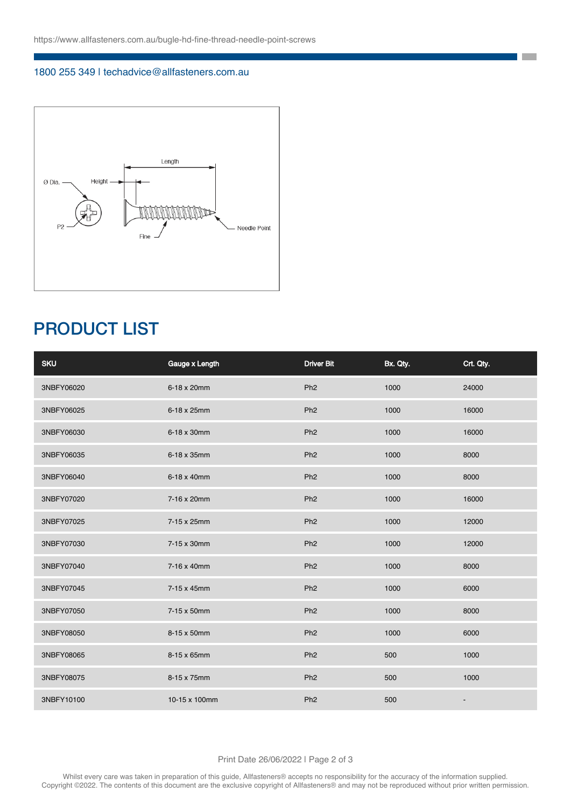#### 1800 255 349 | techadvice@allfasteners.com.au



## PRODUCT LIST

| <b>SKU</b> | Gauge x Length | <b>Driver Bit</b> | Bx. Qty. | Crt. Qty. |
|------------|----------------|-------------------|----------|-----------|
| 3NBFY06020 | 6-18 x 20mm    | Ph <sub>2</sub>   | 1000     | 24000     |
| 3NBFY06025 | 6-18 x 25mm    | Ph <sub>2</sub>   | 1000     | 16000     |
| 3NBFY06030 | 6-18 x 30mm    | Ph <sub>2</sub>   | 1000     | 16000     |
| 3NBFY06035 | 6-18 x 35mm    | Ph <sub>2</sub>   | 1000     | 8000      |
| 3NBFY06040 | 6-18 x 40mm    | Ph <sub>2</sub>   | 1000     | 8000      |
| 3NBFY07020 | 7-16 x 20mm    | Ph <sub>2</sub>   | 1000     | 16000     |
| 3NBFY07025 | 7-15 x 25mm    | Ph <sub>2</sub>   | 1000     | 12000     |
| 3NBFY07030 | 7-15 x 30mm    | Ph <sub>2</sub>   | 1000     | 12000     |
| 3NBFY07040 | 7-16 x 40mm    | Ph <sub>2</sub>   | 1000     | 8000      |
| 3NBFY07045 | 7-15 x 45mm    | Ph <sub>2</sub>   | 1000     | 6000      |
| 3NBFY07050 | 7-15 x 50mm    | Ph <sub>2</sub>   | 1000     | 8000      |
| 3NBFY08050 | 8-15 x 50mm    | Ph <sub>2</sub>   | 1000     | 6000      |
| 3NBFY08065 | 8-15 x 65mm    | Ph <sub>2</sub>   | 500      | 1000      |
| 3NBFY08075 | 8-15 x 75mm    | Ph <sub>2</sub>   | 500      | 1000      |
| 3NBFY10100 | 10-15 x 100mm  | Ph <sub>2</sub>   | 500      |           |

**COL** 

#### Print Date 26/06/2022 | Page 2 of 3